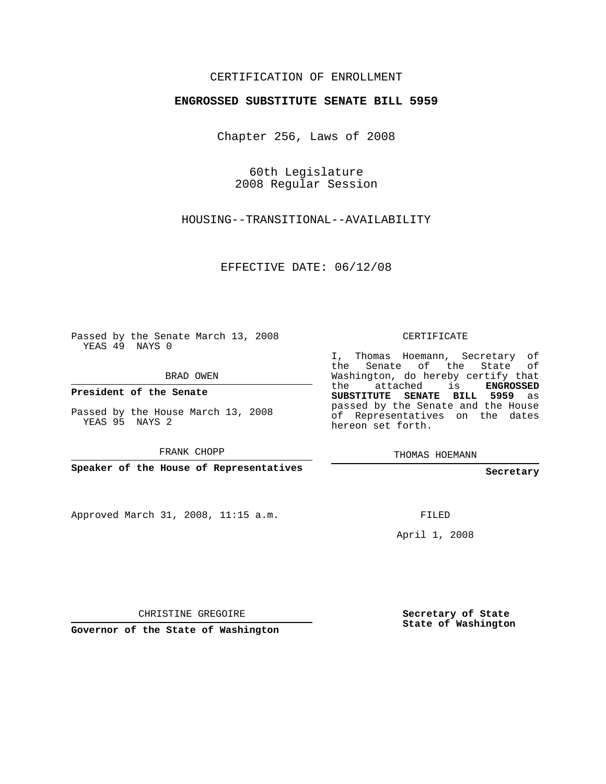### CERTIFICATION OF ENROLLMENT

#### **ENGROSSED SUBSTITUTE SENATE BILL 5959**

Chapter 256, Laws of 2008

60th Legislature 2008 Regular Session

HOUSING--TRANSITIONAL--AVAILABILITY

EFFECTIVE DATE: 06/12/08

Passed by the Senate March 13, 2008 YEAS 49 NAYS 0

BRAD OWEN

**President of the Senate**

Passed by the House March 13, 2008 YEAS 95 NAYS 2

FRANK CHOPP

**Speaker of the House of Representatives**

Approved March 31, 2008, 11:15 a.m.

CERTIFICATE

I, Thomas Hoemann, Secretary of the Senate of the State of Washington, do hereby certify that the attached is **ENGROSSED SUBSTITUTE SENATE BILL 5959** as passed by the Senate and the House of Representatives on the dates hereon set forth.

THOMAS HOEMANN

**Secretary**

FILED

April 1, 2008

CHRISTINE GREGOIRE

**Governor of the State of Washington**

**Secretary of State State of Washington**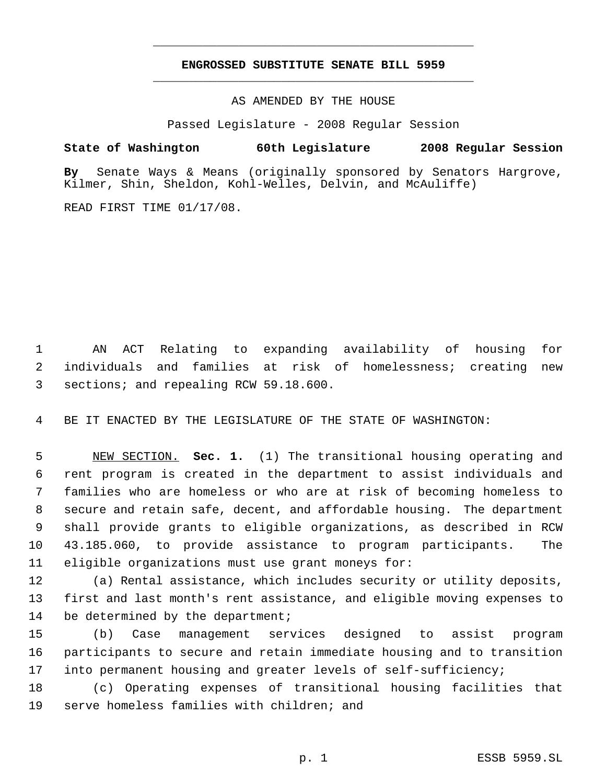# **ENGROSSED SUBSTITUTE SENATE BILL 5959** \_\_\_\_\_\_\_\_\_\_\_\_\_\_\_\_\_\_\_\_\_\_\_\_\_\_\_\_\_\_\_\_\_\_\_\_\_\_\_\_\_\_\_\_\_

\_\_\_\_\_\_\_\_\_\_\_\_\_\_\_\_\_\_\_\_\_\_\_\_\_\_\_\_\_\_\_\_\_\_\_\_\_\_\_\_\_\_\_\_\_

AS AMENDED BY THE HOUSE

Passed Legislature - 2008 Regular Session

#### **State of Washington 60th Legislature 2008 Regular Session**

**By** Senate Ways & Means (originally sponsored by Senators Hargrove, Kilmer, Shin, Sheldon, Kohl-Welles, Delvin, and McAuliffe)

READ FIRST TIME 01/17/08.

 AN ACT Relating to expanding availability of housing for individuals and families at risk of homelessness; creating new sections; and repealing RCW 59.18.600.

BE IT ENACTED BY THE LEGISLATURE OF THE STATE OF WASHINGTON:

 NEW SECTION. **Sec. 1.** (1) The transitional housing operating and rent program is created in the department to assist individuals and families who are homeless or who are at risk of becoming homeless to secure and retain safe, decent, and affordable housing. The department shall provide grants to eligible organizations, as described in RCW 43.185.060, to provide assistance to program participants. The eligible organizations must use grant moneys for:

 (a) Rental assistance, which includes security or utility deposits, first and last month's rent assistance, and eligible moving expenses to 14 be determined by the department;

 (b) Case management services designed to assist program participants to secure and retain immediate housing and to transition into permanent housing and greater levels of self-sufficiency;

 (c) Operating expenses of transitional housing facilities that serve homeless families with children; and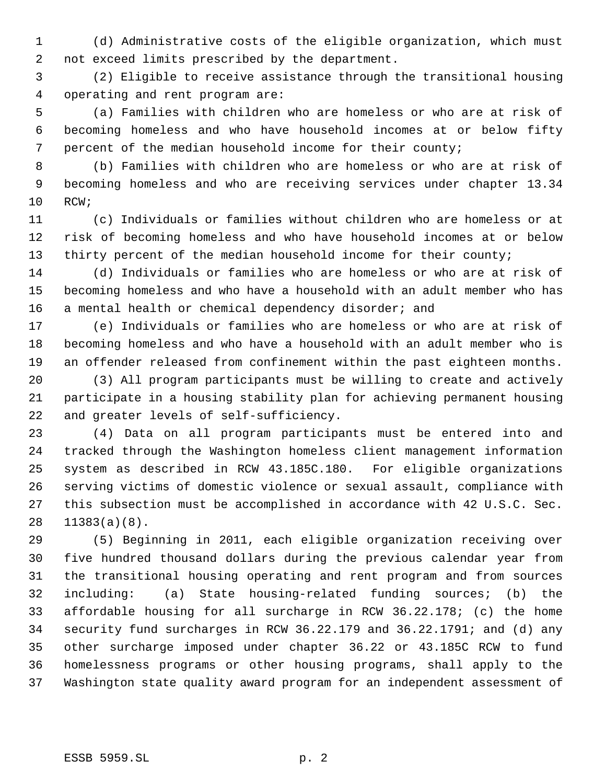(d) Administrative costs of the eligible organization, which must not exceed limits prescribed by the department.

 (2) Eligible to receive assistance through the transitional housing operating and rent program are:

 (a) Families with children who are homeless or who are at risk of becoming homeless and who have household incomes at or below fifty percent of the median household income for their county;

 (b) Families with children who are homeless or who are at risk of becoming homeless and who are receiving services under chapter 13.34 RCW;

 (c) Individuals or families without children who are homeless or at risk of becoming homeless and who have household incomes at or below 13 thirty percent of the median household income for their county;

 (d) Individuals or families who are homeless or who are at risk of becoming homeless and who have a household with an adult member who has 16 a mental health or chemical dependency disorder; and

 (e) Individuals or families who are homeless or who are at risk of becoming homeless and who have a household with an adult member who is an offender released from confinement within the past eighteen months.

 (3) All program participants must be willing to create and actively participate in a housing stability plan for achieving permanent housing and greater levels of self-sufficiency.

 (4) Data on all program participants must be entered into and tracked through the Washington homeless client management information system as described in RCW 43.185C.180. For eligible organizations serving victims of domestic violence or sexual assault, compliance with this subsection must be accomplished in accordance with 42 U.S.C. Sec. 11383(a)(8).

 (5) Beginning in 2011, each eligible organization receiving over five hundred thousand dollars during the previous calendar year from the transitional housing operating and rent program and from sources including: (a) State housing-related funding sources; (b) the affordable housing for all surcharge in RCW 36.22.178; (c) the home security fund surcharges in RCW 36.22.179 and 36.22.1791; and (d) any other surcharge imposed under chapter 36.22 or 43.185C RCW to fund homelessness programs or other housing programs, shall apply to the Washington state quality award program for an independent assessment of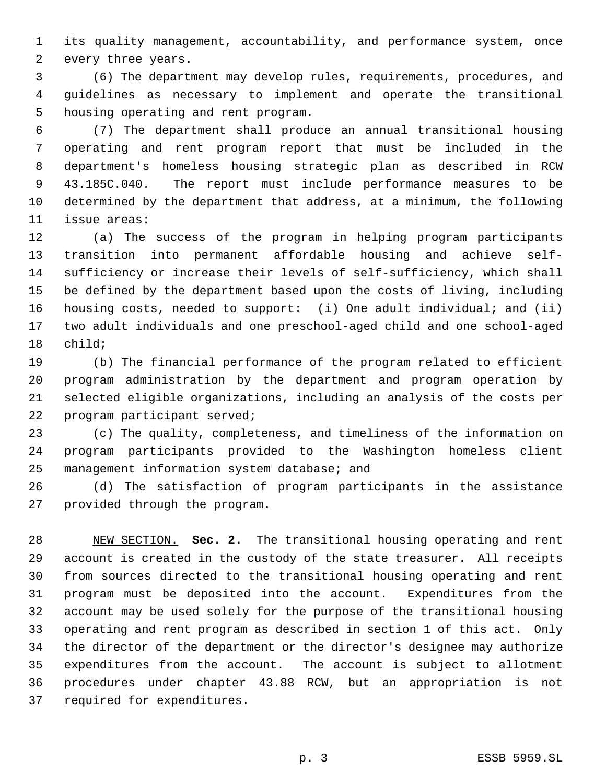its quality management, accountability, and performance system, once every three years.

 (6) The department may develop rules, requirements, procedures, and guidelines as necessary to implement and operate the transitional housing operating and rent program.

 (7) The department shall produce an annual transitional housing operating and rent program report that must be included in the department's homeless housing strategic plan as described in RCW 43.185C.040. The report must include performance measures to be determined by the department that address, at a minimum, the following issue areas:

 (a) The success of the program in helping program participants transition into permanent affordable housing and achieve self- sufficiency or increase their levels of self-sufficiency, which shall be defined by the department based upon the costs of living, including housing costs, needed to support: (i) One adult individual; and (ii) two adult individuals and one preschool-aged child and one school-aged child;

 (b) The financial performance of the program related to efficient program administration by the department and program operation by selected eligible organizations, including an analysis of the costs per program participant served;

 (c) The quality, completeness, and timeliness of the information on program participants provided to the Washington homeless client management information system database; and

 (d) The satisfaction of program participants in the assistance provided through the program.

 NEW SECTION. **Sec. 2.** The transitional housing operating and rent account is created in the custody of the state treasurer. All receipts from sources directed to the transitional housing operating and rent program must be deposited into the account. Expenditures from the account may be used solely for the purpose of the transitional housing operating and rent program as described in section 1 of this act. Only the director of the department or the director's designee may authorize expenditures from the account. The account is subject to allotment procedures under chapter 43.88 RCW, but an appropriation is not required for expenditures.